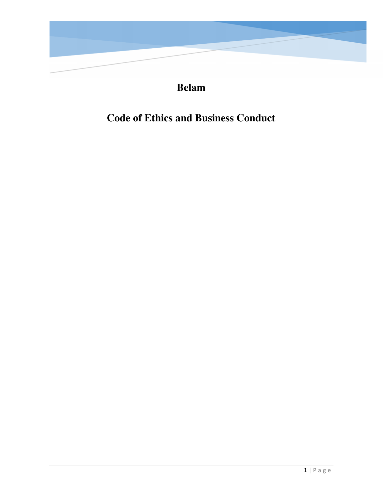

# **Belam**

# **Code of Ethics and Business Conduct**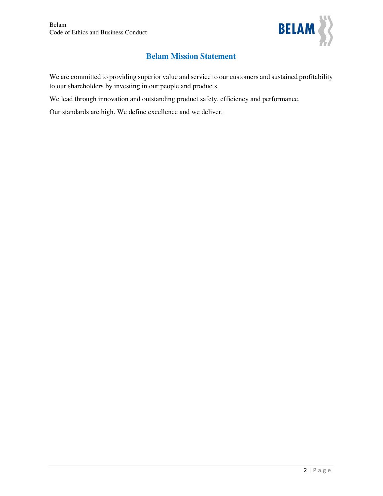

# **Belam Mission Statement**

We are committed to providing superior value and service to our customers and sustained profitability to our shareholders by investing in our people and products.

We lead through innovation and outstanding product safety, efficiency and performance.

Our standards are high. We define excellence and we deliver.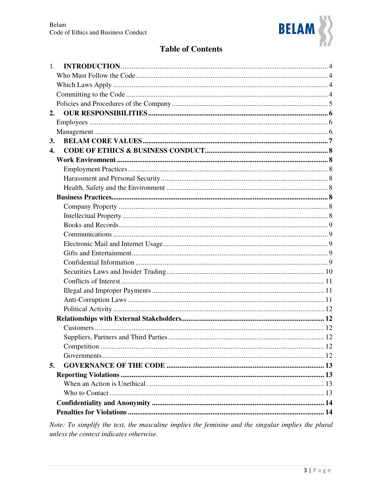

# **Table of Contents**

| 1.                 |  |
|--------------------|--|
|                    |  |
|                    |  |
|                    |  |
|                    |  |
| 2.                 |  |
|                    |  |
|                    |  |
| 3.                 |  |
| $\boldsymbol{4}$ . |  |
|                    |  |
|                    |  |
|                    |  |
|                    |  |
|                    |  |
|                    |  |
|                    |  |
|                    |  |
|                    |  |
|                    |  |
|                    |  |
|                    |  |
|                    |  |
|                    |  |
|                    |  |
|                    |  |
|                    |  |
|                    |  |
|                    |  |
|                    |  |
|                    |  |
|                    |  |
| 5.                 |  |
|                    |  |
|                    |  |
|                    |  |
|                    |  |
|                    |  |
|                    |  |

Note: To simplify the text, the masculine implies the feminine and the singular implies the plural unless the context indicates otherwise.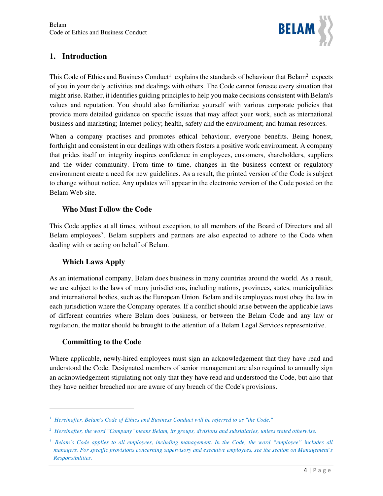

# **1. Introduction**

This Code of Ethics and Business Conduct<sup>1</sup> explains the standards of behaviour that Belam<sup>2</sup> expects of you in your daily activities and dealings with others. The Code cannot foresee every situation that might arise. Rather, it identifies guiding principles to help you make decisions consistent with Belam's values and reputation. You should also familiarize yourself with various corporate policies that provide more detailed guidance on specific issues that may affect your work, such as international business and marketing; Internet policy; health, safety and the environment; and human resources.

When a company practises and promotes ethical behaviour, everyone benefits. Being honest, forthright and consistent in our dealings with others fosters a positive work environment. A company that prides itself on integrity inspires confidence in employees, customers, shareholders, suppliers and the wider community. From time to time, changes in the business context or regulatory environment create a need for new guidelines. As a result, the printed version of the Code is subject to change without notice. Any updates will appear in the electronic version of the Code posted on the Belam Web site.

## **Who Must Follow the Code**

This Code applies at all times, without exception, to all members of the Board of Directors and all Belam employees<sup>3</sup>. Belam suppliers and partners are also expected to adhere to the Code when dealing with or acting on behalf of Belam.

## **Which Laws Apply**

As an international company, Belam does business in many countries around the world. As a result, we are subject to the laws of many jurisdictions, including nations, provinces, states, municipalities and international bodies, such as the European Union. Belam and its employees must obey the law in each jurisdiction where the Company operates. If a conflict should arise between the applicable laws of different countries where Belam does business, or between the Belam Code and any law or regulation, the matter should be brought to the attention of a Belam Legal Services representative.

#### **Committing to the Code**

 $\ddot{\phantom{a}}$ 

Where applicable, newly-hired employees must sign an acknowledgement that they have read and understood the Code. Designated members of senior management are also required to annually sign an acknowledgement stipulating not only that they have read and understood the Code, but also that they have neither breached nor are aware of any breach of the Code's provisions.

*<sup>1</sup> Hereinafter, Belam's Code of Ethics and Business Conduct will be referred to as "the Code."* 

*<sup>2</sup> Hereinafter, the word "Company" means Belam, its groups, divisions and subsidiaries, unless stated otherwise.*

<sup>&</sup>lt;sup>3</sup> Belam's Code applies to all employees, including management. In the Code, the word "employee" includes all *managers. For specific provisions concerning supervisory and executive employees, see the section on Management's Responsibilities.*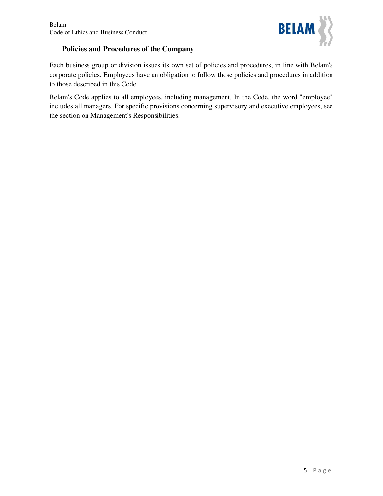

## **Policies and Procedures of the Company**

Each business group or division issues its own set of policies and procedures, in line with Belam's corporate policies. Employees have an obligation to follow those policies and procedures in addition to those described in this Code.

Belam's Code applies to all employees, including management. In the Code, the word "employee" includes all managers. For specific provisions concerning supervisory and executive employees, see the section on Management's Responsibilities.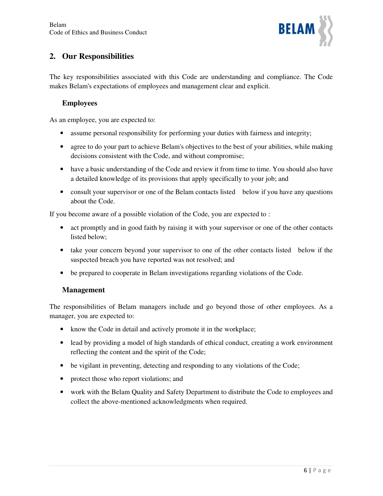

# **2. Our Responsibilities**

The key responsibilities associated with this Code are understanding and compliance. The Code makes Belam's expectations of employees and management clear and explicit.

## **Employees**

As an employee, you are expected to:

- assume personal responsibility for performing your duties with fairness and integrity;
- agree to do your part to achieve Belam's objectives to the best of your abilities, while making decisions consistent with the Code, and without compromise;
- have a basic understanding of the Code and review it from time to time. You should also have a detailed knowledge of its provisions that apply specifically to your job; and
- consult your supervisor or one of the Belam contacts listed below if you have any questions about the Code.

If you become aware of a possible violation of the Code, you are expected to :

- act promptly and in good faith by raising it with your supervisor or one of the other contacts listed below;
- take your concern beyond your supervisor to one of the other contacts listed below if the suspected breach you have reported was not resolved; and
- be prepared to cooperate in Belam investigations regarding violations of the Code.

## **Management**

The responsibilities of Belam managers include and go beyond those of other employees. As a manager, you are expected to:

- know the Code in detail and actively promote it in the workplace;
- lead by providing a model of high standards of ethical conduct, creating a work environment reflecting the content and the spirit of the Code;
- be vigilant in preventing, detecting and responding to any violations of the Code;
- protect those who report violations; and
- work with the Belam Quality and Safety Department to distribute the Code to employees and collect the above-mentioned acknowledgments when required.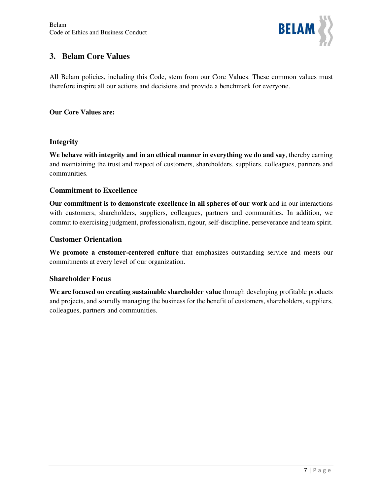

## **3. Belam Core Values**

All Belam policies, including this Code, stem from our Core Values. These common values must therefore inspire all our actions and decisions and provide a benchmark for everyone.

## **Our Core Values are:**

## **Integrity**

**We behave with integrity and in an ethical manner in everything we do and say**, thereby earning and maintaining the trust and respect of customers, shareholders, suppliers, colleagues, partners and communities.

## **Commitment to Excellence**

**Our commitment is to demonstrate excellence in all spheres of our work** and in our interactions with customers, shareholders, suppliers, colleagues, partners and communities. In addition, we commit to exercising judgment, professionalism, rigour, self-discipline, perseverance and team spirit.

## **Customer Orientation**

**We promote a customer-centered culture** that emphasizes outstanding service and meets our commitments at every level of our organization.

## **Shareholder Focus**

**We are focused on creating sustainable shareholder value** through developing profitable products and projects, and soundly managing the business for the benefit of customers, shareholders, suppliers, colleagues, partners and communities.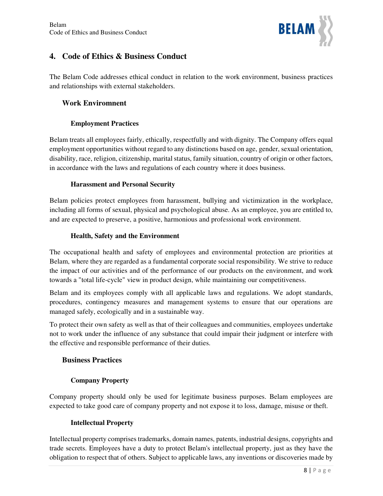

# **4. Code of Ethics & Business Conduct**

The Belam Code addresses ethical conduct in relation to the work environment, business practices and relationships with external stakeholders.

## **Work Enviromnent**

## **Employment Practices**

Belam treats all employees fairly, ethically, respectfully and with dignity. The Company offers equal employment opportunities without regard to any distinctions based on age, gender, sexual orientation, disability, race, religion, citizenship, marital status, family situation, country of origin or other factors, in accordance with the laws and regulations of each country where it does business.

## **Harassment and Personal Security**

Belam policies protect employees from harassment, bullying and victimization in the workplace, including all forms of sexual, physical and psychological abuse. As an employee, you are entitled to, and are expected to preserve, a positive, harmonious and professional work environment.

## **Health, Safety and the Environment**

The occupational health and safety of employees and environmental protection are priorities at Belam, where they are regarded as a fundamental corporate social responsibility. We strive to reduce the impact of our activities and of the performance of our products on the environment, and work towards a "total life-cycle" view in product design, while maintaining our competitiveness.

Belam and its employees comply with all applicable laws and regulations. We adopt standards, procedures, contingency measures and management systems to ensure that our operations are managed safely, ecologically and in a sustainable way.

To protect their own safety as well as that of their colleagues and communities, employees undertake not to work under the influence of any substance that could impair their judgment or interfere with the effective and responsible performance of their duties.

## **Business Practices**

## **Company Property**

Company property should only be used for legitimate business purposes. Belam employees are expected to take good care of company property and not expose it to loss, damage, misuse or theft.

#### **Intellectual Property**

Intellectual property comprises trademarks, domain names, patents, industrial designs, copyrights and trade secrets. Employees have a duty to protect Belam's intellectual property, just as they have the obligation to respect that of others. Subject to applicable laws, any inventions or discoveries made by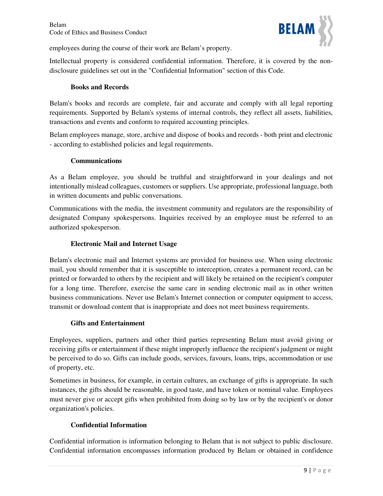

employees during the course of their work are Belam's property.

Intellectual property is considered confidential information. Therefore, it is covered by the nondisclosure guidelines set out in the "Confidential Information" section of this Code.

#### **Books and Records**

Belam's books and records are complete, fair and accurate and comply with all legal reporting requirements. Supported by Belam's systems of internal controls, they reflect all assets, liabilities, transactions and events and conform to required accounting principles.

Belam employees manage, store, archive and dispose of books and records - both print and electronic - according to established policies and legal requirements.

#### **Communications**

As a Belam employee, you should be truthful and straightforward in your dealings and not intentionally mislead colleagues, customers or suppliers. Use appropriate, professional language, both in written documents and public conversations.

Communications with the media, the investment community and regulators are the responsibility of designated Company spokespersons. Inquiries received by an employee must be referred to an authorized spokesperson.

#### **Electronic Mail and Internet Usage**

Belam's electronic mail and Internet systems are provided for business use. When using electronic mail, you should remember that it is susceptible to interception, creates a permanent record, can be printed or forwarded to others by the recipient and will likely be retained on the recipient's computer for a long time. Therefore, exercise the same care in sending electronic mail as in other written business communications. Never use Belam's Internet connection or computer equipment to access, transmit or download content that is inappropriate and does not meet business requirements.

#### **Gifts and Entertainment**

Employees, suppliers, partners and other third parties representing Belam must avoid giving or receiving gifts or entertainment if these might improperly influence the recipient's judgment or might be perceived to do so. Gifts can include goods, services, favours, loans, trips, accommodation or use of property, etc.

Sometimes in business, for example, in certain cultures, an exchange of gifts is appropriate. In such instances, the gifts should be reasonable, in good taste, and have token or nominal value. Employees must never give or accept gifts when prohibited from doing so by law or by the recipient's or donor organization's policies.

#### **Confidential Information**

Confidential information is information belonging to Belam that is not subject to public disclosure. Confidential information encompasses information produced by Belam or obtained in confidence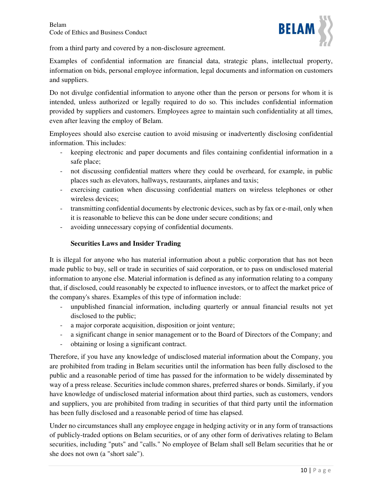

from a third party and covered by a non-disclosure agreement.

Examples of confidential information are financial data, strategic plans, intellectual property, information on bids, personal employee information, legal documents and information on customers and suppliers.

Do not divulge confidential information to anyone other than the person or persons for whom it is intended, unless authorized or legally required to do so. This includes confidential information provided by suppliers and customers. Employees agree to maintain such confidentiality at all times, even after leaving the employ of Belam.

Employees should also exercise caution to avoid misusing or inadvertently disclosing confidential information. This includes:

- keeping electronic and paper documents and files containing confidential information in a safe place;
- not discussing confidential matters where they could be overheard, for example, in public places such as elevators, hallways, restaurants, airplanes and taxis;
- exercising caution when discussing confidential matters on wireless telephones or other wireless devices;
- transmitting confidential documents by electronic devices, such as by fax or e-mail, only when it is reasonable to believe this can be done under secure conditions; and
- avoiding unnecessary copying of confidential documents.

## **Securities Laws and Insider Trading**

It is illegal for anyone who has material information about a public corporation that has not been made public to buy, sell or trade in securities of said corporation, or to pass on undisclosed material information to anyone else. Material information is defined as any information relating to a company that, if disclosed, could reasonably be expected to influence investors, or to affect the market price of the company's shares. Examples of this type of information include:

- unpublished financial information, including quarterly or annual financial results not yet disclosed to the public;
- a major corporate acquisition, disposition or joint venture;
- a significant change in senior management or to the Board of Directors of the Company; and
- obtaining or losing a significant contract.

Therefore, if you have any knowledge of undisclosed material information about the Company, you are prohibited from trading in Belam securities until the information has been fully disclosed to the public and a reasonable period of time has passed for the information to be widely disseminated by way of a press release. Securities include common shares, preferred shares or bonds. Similarly, if you have knowledge of undisclosed material information about third parties, such as customers, vendors and suppliers, you are prohibited from trading in securities of that third party until the information has been fully disclosed and a reasonable period of time has elapsed.

Under no circumstances shall any employee engage in hedging activity or in any form of transactions of publicly-traded options on Belam securities, or of any other form of derivatives relating to Belam securities, including "puts" and "calls." No employee of Belam shall sell Belam securities that he or she does not own (a "short sale").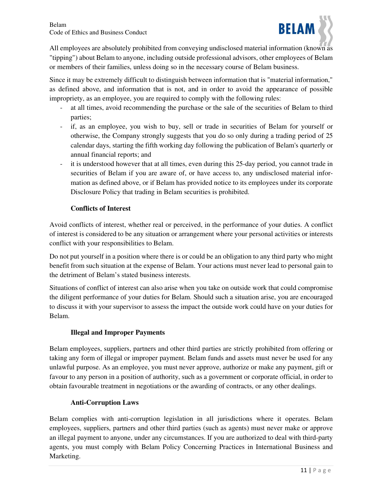

All employees are absolutely prohibited from conveying undisclosed material information (known as "tipping") about Belam to anyone, including outside professional advisors, other employees of Belam or members of their families, unless doing so in the necessary course of Belam business.

Since it may be extremely difficult to distinguish between information that is "material information," as defined above, and information that is not, and in order to avoid the appearance of possible impropriety, as an employee, you are required to comply with the following rules:

- at all times, avoid recommending the purchase or the sale of the securities of Belam to third parties;
- if, as an employee, you wish to buy, sell or trade in securities of Belam for yourself or otherwise, the Company strongly suggests that you do so only during a trading period of 25 calendar days, starting the fifth working day following the publication of Belam's quarterly or annual financial reports; and
- it is understood however that at all times, even during this 25-day period, you cannot trade in securities of Belam if you are aware of, or have access to, any undisclosed material information as defined above, or if Belam has provided notice to its employees under its corporate Disclosure Policy that trading in Belam securities is prohibited.

## **Conflicts of Interest**

Avoid conflicts of interest, whether real or perceived, in the performance of your duties. A conflict of interest is considered to be any situation or arrangement where your personal activities or interests conflict with your responsibilities to Belam.

Do not put yourself in a position where there is or could be an obligation to any third party who might benefit from such situation at the expense of Belam. Your actions must never lead to personal gain to the detriment of Belam's stated business interests.

Situations of conflict of interest can also arise when you take on outside work that could compromise the diligent performance of your duties for Belam. Should such a situation arise, you are encouraged to discuss it with your supervisor to assess the impact the outside work could have on your duties for Belam.

#### **Illegal and Improper Payments**

Belam employees, suppliers, partners and other third parties are strictly prohibited from offering or taking any form of illegal or improper payment. Belam funds and assets must never be used for any unlawful purpose. As an employee, you must never approve, authorize or make any payment, gift or favour to any person in a position of authority, such as a government or corporate official, in order to obtain favourable treatment in negotiations or the awarding of contracts, or any other dealings.

#### **Anti-Corruption Laws**

Belam complies with anti-corruption legislation in all jurisdictions where it operates. Belam employees, suppliers, partners and other third parties (such as agents) must never make or approve an illegal payment to anyone, under any circumstances. If you are authorized to deal with third-party agents, you must comply with Belam Policy Concerning Practices in International Business and Marketing.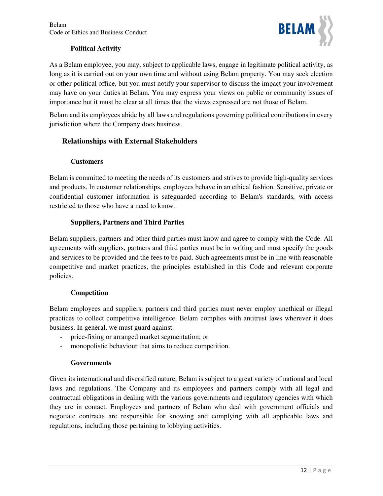

## **Political Activity**

As a Belam employee, you may, subject to applicable laws, engage in legitimate political activity, as long as it is carried out on your own time and without using Belam property. You may seek election or other political office, but you must notify your supervisor to discuss the impact your involvement may have on your duties at Belam. You may express your views on public or community issues of importance but it must be clear at all times that the views expressed are not those of Belam.

Belam and its employees abide by all laws and regulations governing political contributions in every jurisdiction where the Company does business.

## **Relationships with External Stakeholders**

## **Customers**

Belam is committed to meeting the needs of its customers and strives to provide high-quality services and products. In customer relationships, employees behave in an ethical fashion. Sensitive, private or confidential customer information is safeguarded according to Belam's standards, with access restricted to those who have a need to know.

## **Suppliers, Partners and Third Parties**

Belam suppliers, partners and other third parties must know and agree to comply with the Code. All agreements with suppliers, partners and third parties must be in writing and must specify the goods and services to be provided and the fees to be paid. Such agreements must be in line with reasonable competitive and market practices, the principles established in this Code and relevant corporate policies.

#### **Competition**

Belam employees and suppliers, partners and third parties must never employ unethical or illegal practices to collect competitive intelligence. Belam complies with antitrust laws wherever it does business. In general, we must guard against:

- price-fixing or arranged market segmentation; or
- monopolistic behaviour that aims to reduce competition.

#### **Governments**

Given its international and diversified nature, Belam is subject to a great variety of national and local laws and regulations. The Company and its employees and partners comply with all legal and contractual obligations in dealing with the various governments and regulatory agencies with which they are in contact. Employees and partners of Belam who deal with government officials and negotiate contracts are responsible for knowing and complying with all applicable laws and regulations, including those pertaining to lobbying activities.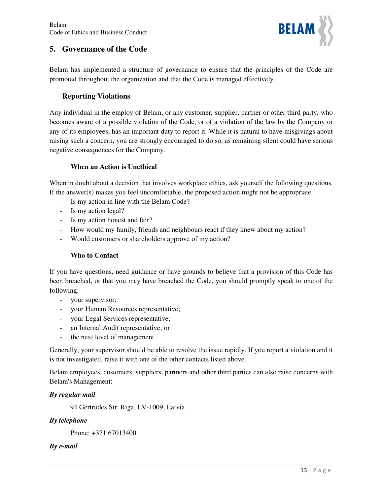

## **5. Governance of the Code**

Belam has implemented a structure of governance to ensure that the principles of the Code are promoted throughout the organization and that the Code is managed effectively.

## **Reporting Violations**

Any individual in the employ of Belam, or any customer, supplier, partner or other third party, who becomes aware of a possible violation of the Code, or of a violation of the law by the Company or any of its employees, has an important duty to report it. While it is natural to have misgivings about raising such a concern, you are strongly encouraged to do so, as remaining silent could have serious negative consequences for the Company.

#### **When an Action is Unethical**

When in doubt about a decision that involves workplace ethics, ask yourself the following questions. If the answer(s) makes you feel uncomfortable, the proposed action might not be appropriate.

- Is my action in line with the Belam Code?
- Is my action legal?
- Is my action honest and fair?
- How would my family, friends and neighbours react if they knew about my action?
- Would customers or shareholders approve of my action?

#### **Who to Contact**

If you have questions, need guidance or have grounds to believe that a provision of this Code has been breached, or that you may have breached the Code, you should promptly speak to one of the following:

- your supervisor;
- your Human Resources representative;
- your Legal Services representative;
- an Internal Audit representative; or
- the next level of management.

Generally, your supervisor should be able to resolve the issue rapidly. If you report a violation and it is not investigated, raise it with one of the other contacts listed above.

Belam employees, customers, suppliers, partners and other third parties can also raise concerns with Belam's Management:

#### *By regular mail*

94 Gertrudes Str. Riga, LV-1009, Latvia

#### *By telephone*

Phone: +371 67013400

#### *By e-mail*